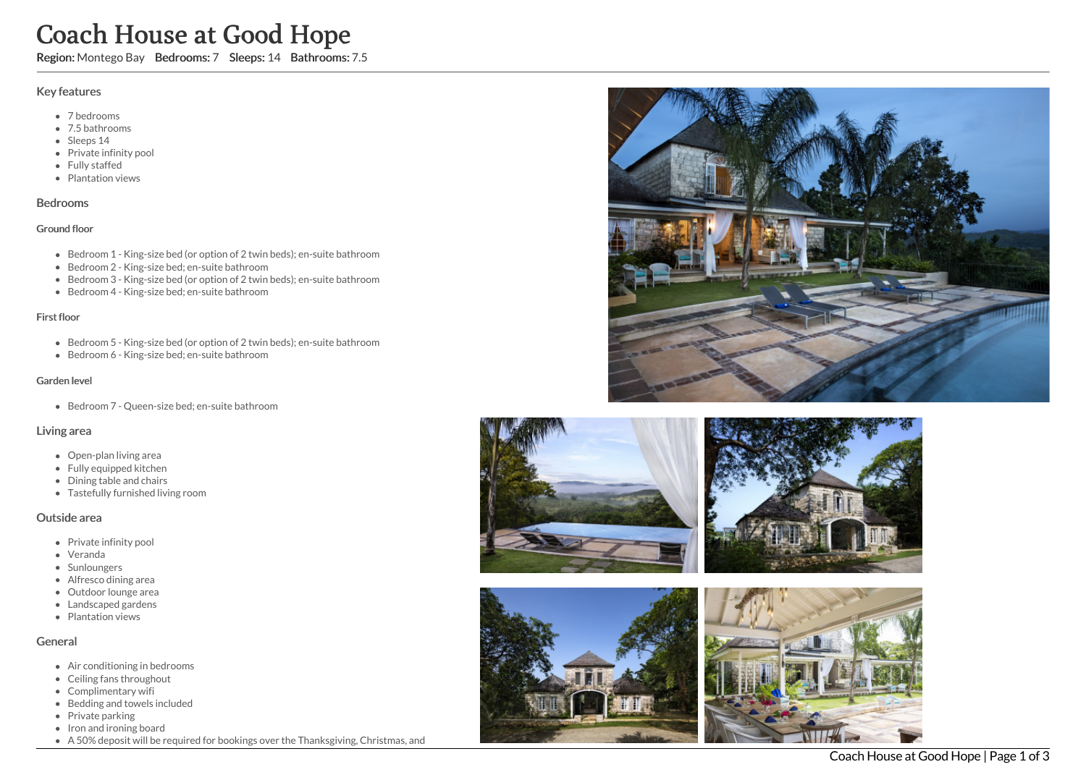# Coach House at Good Hope

Region: Montego Bay Bedrooms: 7 Sleeps: 14 Bathrooms: 7.5

# Key features

- 7 b e d r o o m s
- 7.5 bathrooms
- Sleeps 14
- Private infinity pool
- Fully staffed
- Plantation views

#### **Bedrooms**

#### Ground floor

- Bedroom 1 King-size bed (or option of 2 twin beds); en-suite bathroom
- Bedroom 2 King-size bed; en-suite bathroom
- Bedroom 3 King-size bed (or option of 2 twin beds); en-suite bathroom
- Bedroom 4 King-size bed; en-suite bathroom

#### First floor

- Bedroom 5 King-size bed (or option of 2 twin beds); en-suite bathroom
- Bedroom 6 King-size bed; en-suite bathroom

#### Garden level

Bedroom 7 - Queen-size bed; en-suite bathroom

# Living area

- Open-plan living area
- Fully equipped kitchen
- Dining table and chairs
- Tastefully furnished living room

# Outside area

- Private infinity pool
- Veranda
- Sunloungers
- Alfresco dining area
- Outdoor lounge are a
- Landscaped gardens
- Plantation views

# General

- Air conditioning in bedrooms
- Ceiling fans throughout
- Complimentary wifi
- Bedding and towels in clu d e d
- Private parking
- Iron and ironing board
- A 50% deposit will be required for bookings over the Thanksgiving, Christmas, and





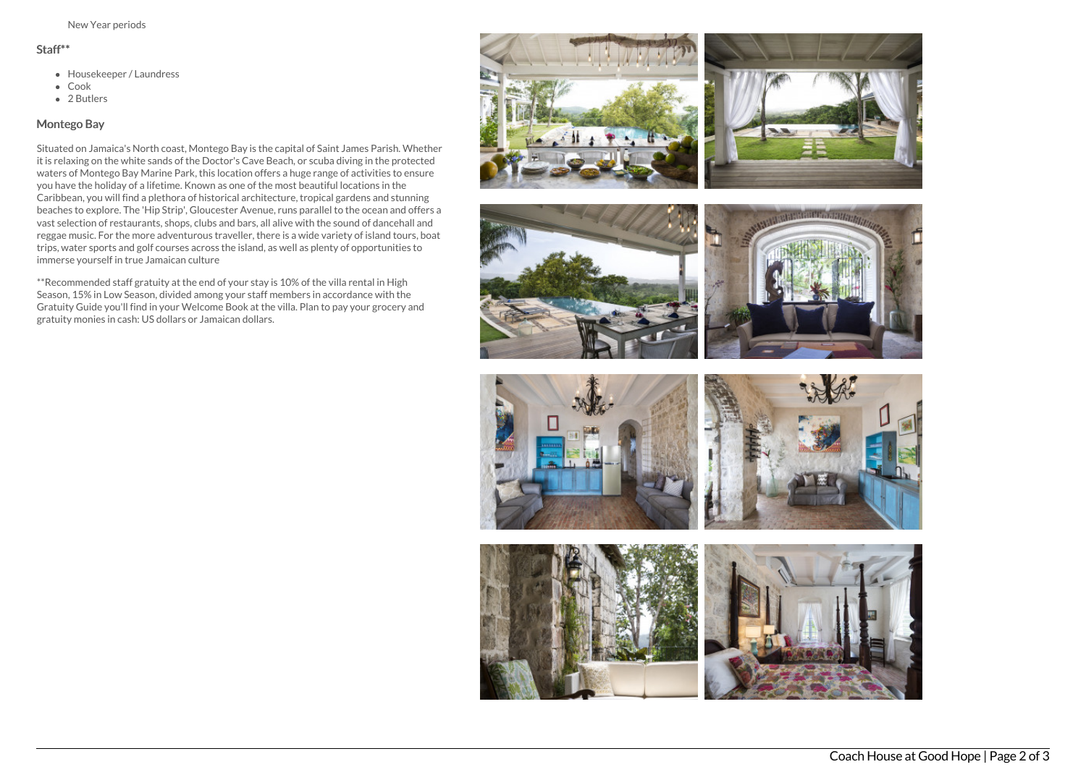#### Staff\*\*

- Housekeeper / Laundress
- Cook
- 2 Butlers

# Montego Bay

Situated on Jamaica's North coast, Montego Bay is the capital of Saint James Parish. Whether it is relaxing on the white sands of the Doctor's Cave Beach, or scuba diving in the protected waters of Montego Bay Marine Park, this location offers a huge range of activities to ensure you have the holiday of a lifetime. Known as one of the most beautiful locations in the Caribbean, you will find a plethora of historical architecture, tropical gardens and stunning beaches to explore. The 'Hip Strip', Gloucester Avenue, runs parallel to the ocean and offers a vast selection of restaurants, shops, clubs and bars, all alive with the sound of dancehall and reggae music. For the more adventurous traveller, there is a wide variety of island tours, boat trips, water sports and golf courses across the island, as well as plenty of opportunities to immerse yourself in true Jamaican culture

\*\*Recommended staff gratuity at the end of your stay is 10% of the villa rental in High Season, 15% in Low Season, divided among your staff members in accordance with the Gratuity Guide you'll find in your Welcome Book at the villa. Plan to pay your grocery and gratuity monies in cash: US dollars or Jamaican dollars.